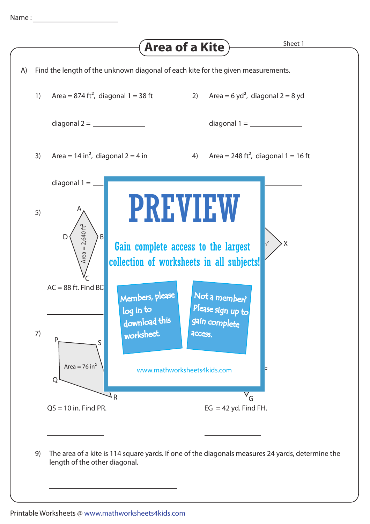